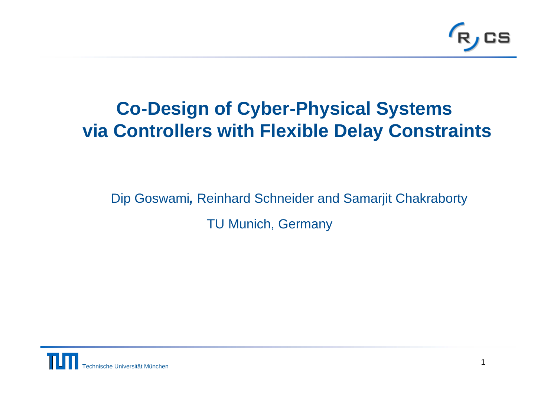

#### **Co-Design of Cyber-Physical Systems via Controllers with Flexible Delay Constraints**

Dip Goswami*,* Reinhard Schneider and Samarjit Chakraborty TU Munich, Germany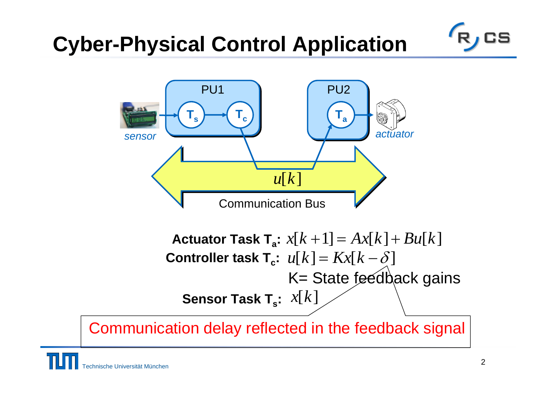# **Cyber-Physical Control Application**



Actuator Task T<sub>a</sub>:  $x[k+1] = Ax[k]+Bu[k]$ **Controller task T<sub>c</sub>:**  $u[k] = Kx[k - \delta]$ K= State feedback gains **Sensor Task T<sub>s</sub>:** *x***[***k***]** 

Communication delay reflected in the feedback signal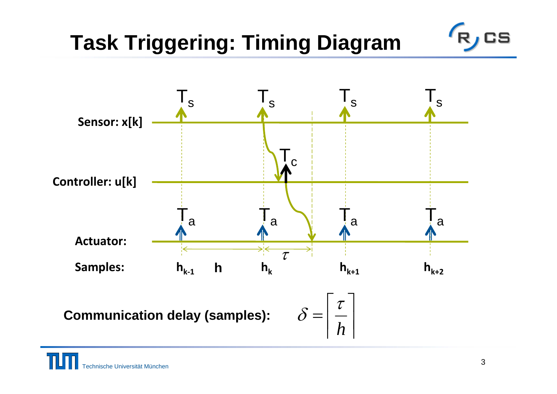# **Task Triggering: Timing Diagram**

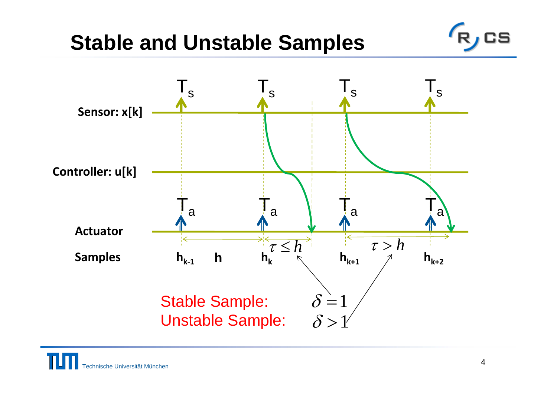### **Stable and Unstable Samples**

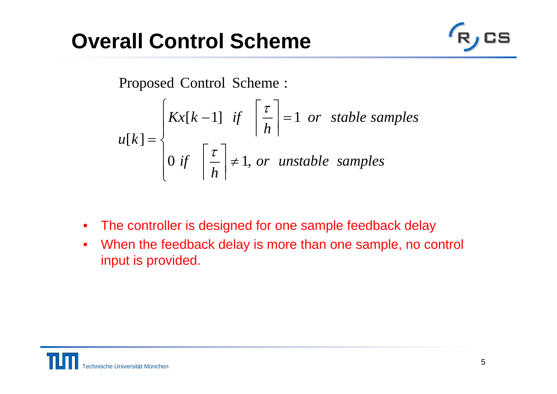## **Overall Control Scheme**



Proposed Control Scheme:

$$
u[k] = \begin{cases} Kx[k-1] & \text{if } \left\lceil \frac{\tau}{h} \right\rceil = 1 \text{ or stable samples} \\ 0 & \text{if } \left\lceil \frac{\tau}{h} \right\rceil \neq 1, \text{ or unstable samples} \end{cases}
$$

- $\bullet$ The controller is designed for one sample feedback delay
- $\bullet$  When the feedback delay is more than one sample, no control input is provided.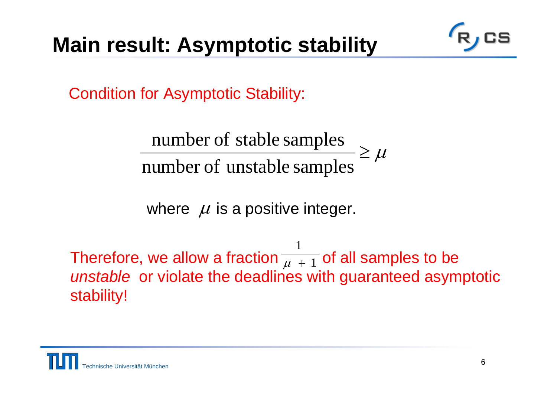# **Main result: Asymptotic stability**

Condition for Asymptotic Stability:

 $\geq \mu$ number of stable samples<br>number of unstable samples

where  $\mu$  is a positive integer.

Therefore, we allow a fraction  $\overline{\mu+1}$  of all samples to be *unstable* or violate the deadlines with guaranteed asymptotic stability! 1  $\mu$  +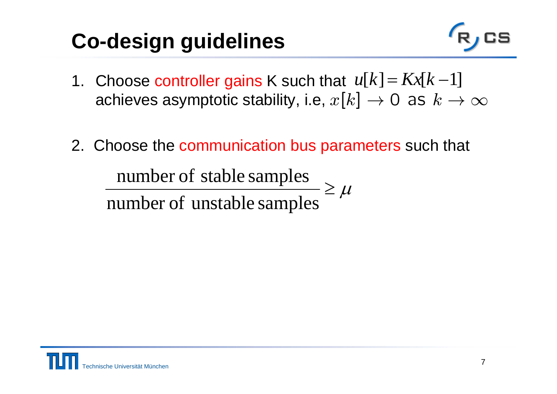# **Co-design guidelines**

- 
- 1. Choose controller gains K such that  $\;u[k]\!=\!$ achieves asymptotic stability, i.e,  $x[k] \rightarrow 0$  as  $k \rightarrow \infty$  $\mu[k] = Kx[k-1]$
- 2. Choose the communication bus parameters such that

 $\geq \mu$ number of stable samples<br>number of unstable samples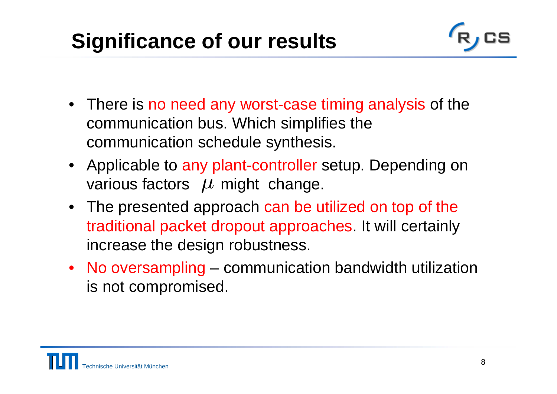# **Significance of our results**

- There is no need any worst-case timing analysis of the communication bus. Which simplifies the communication schedule synthesis.
- Applicable to any plant-controller setup. Depending on various factors  $\mu$  might change.
- The presented approach can be utilized on top of the traditional packet dropout approaches. It will certainly increase the design robustness.
- No oversampling communication bandwidth utilization is not compromised.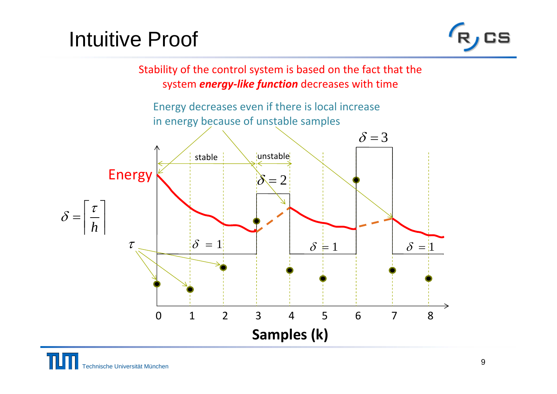## Intuitive Proof



Stability of the control system is based on the fact that the system *energy‐like function* decreases with time

Energy decreases even if there is local increase in energy because of unstable samples

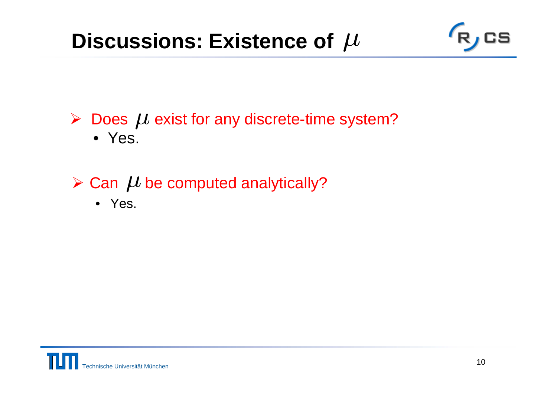### **Discussions: Existence of**



 $\triangleright$  Does  $\mu$  exist for any discrete-time system? • Yes.

#### $\triangleright$  Can  $\mu$  be computed analytically?

• Yes.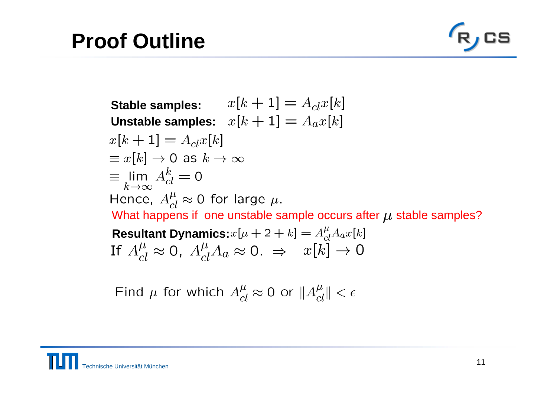# **Proof Outline**



**Stable samples:**  $x[k+1] = A_{cl}x[k]$ **Unstable samples:**  $x[k+1] = A_a x[k]$  $x[k+1] = A_{cl}x[k]$  $\equiv x[k] \rightarrow 0$  as  $k \rightarrow \infty$  $\equiv$  lim  $A_{cl}^k = 0$ Hence,  $A_{cl}^{\mu} \approx 0$  for large  $\mu$ . What happens if one unstable sample occurs after  $\mu$  stable samples? **Resultant Dynamics:**  $x[\mu + 2 + k] = A_{cl}^{\mu} A_a x[k]$ If  $A_{cl}^{\mu} \approx 0$ ,  $A_{cl}^{\mu} A_a \approx 0$ .  $\Rightarrow x[k] \rightarrow 0$ 

Find  $\mu$  for which  $A_{cl}^{\mu} \approx 0$  or  $||A_{cl}^{\mu}|| < \epsilon$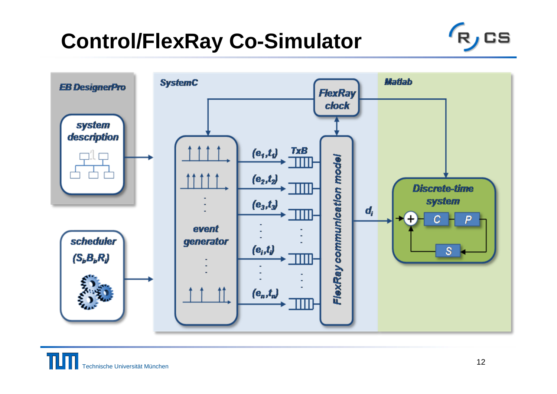# **Control/FlexRay Co-Simulator**



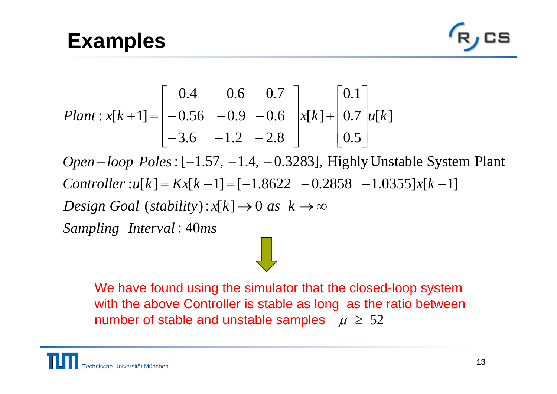#### **Examples**



*Plant* : 
$$
x[k+1]
$$
 = 
$$
\begin{bmatrix} 0.4 & 0.6 & 0.7 \ -0.56 & -0.9 & -0.6 \ -3.6 & -1.2 & -2.8 \end{bmatrix} x[k] + \begin{bmatrix} 0.1 \ 0.7 \ 0.5 \end{bmatrix} u[k]
$$

 $Sampling$  *Interval* : 40 $ms$  $Design$  *Goal* (stability):  $x[k] \rightarrow 0$  as  $k \rightarrow \infty$  $Controller: u[k] = Kx[k-1] = [-1.8622 - 0.2858 - 1.0355]x[k-1]$ *Open–loop Poles* : [–1.57, –1.4, –0.3283], Highly Unstable System Plant  $-$ luup 1 ules.  $-1.5$ .  $-1.4$ .  $-$ 

We have found using the simulator that the closed-loop system with the above Controller is stable as long as the ratio between number of stable and unstable samples  $\mu \geq 52$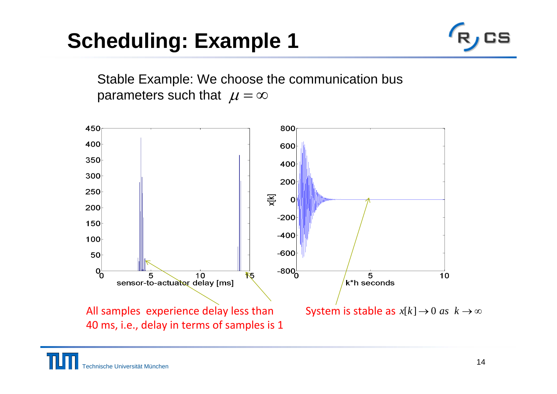# **Scheduling: Example 1**



Stable Example: We choose the communication bus parameters such that  $\mu = \infty$ 

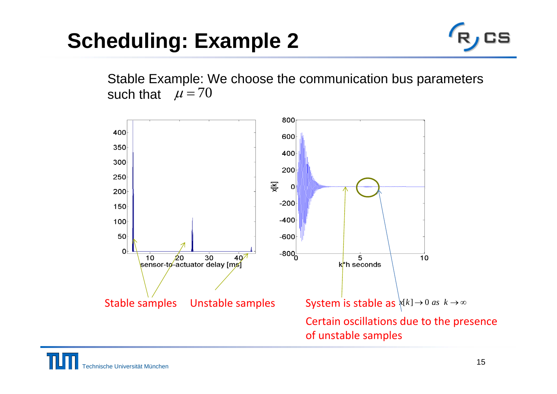# **Scheduling: Example 2**



Stable Example: We choose the communication bus parameters such that  $\mu = 70$ 

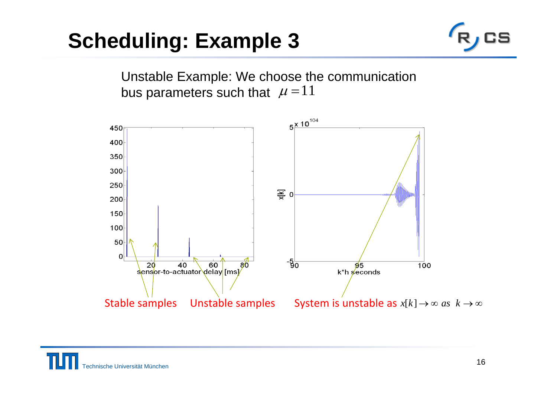## **Scheduling: Example 3**



Unstable Example: We choose the communication bus parameters such that  $\mu = 11$